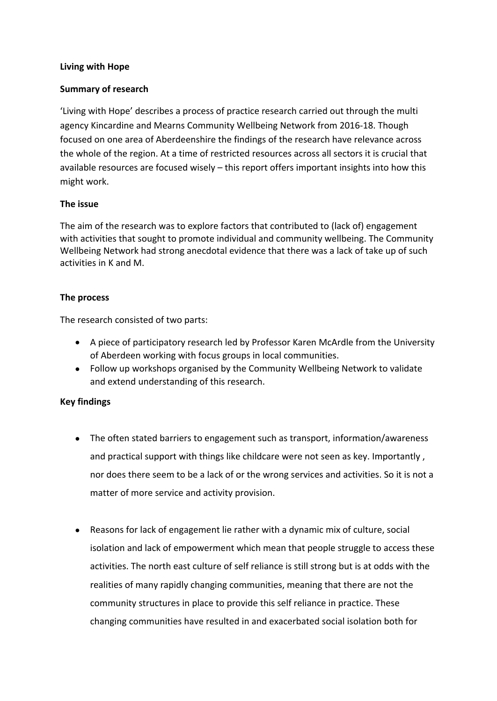## **Living with Hope**

## **Summary of research**

'Living with Hope' describes a process of practice research carried out through the multi agency Kincardine and Mearns Community Wellbeing Network from 2016-18. Though focused on one area of Aberdeenshire the findings of the research have relevance across the whole of the region. At a time of restricted resources across all sectors it is crucial that available resources are focused wisely – this report offers important insights into how this might work.

## **The issue**

The aim of the research was to explore factors that contributed to (lack of) engagement with activities that sought to promote individual and community wellbeing. The Community Wellbeing Network had strong anecdotal evidence that there was a lack of take up of such activities in K and M.

## **The process**

The research consisted of two parts:

- A piece of participatory research led by Professor Karen McArdle from the University of Aberdeen working with focus groups in local communities.
- Follow up workshops organised by the Community Wellbeing Network to validate and extend understanding of this research.

# **Key findings**

- The often stated barriers to engagement such as transport, information/awareness and practical support with things like childcare were not seen as key. Importantly , nor does there seem to be a lack of or the wrong services and activities. So it is not a matter of more service and activity provision.
- Reasons for lack of engagement lie rather with a dynamic mix of culture, social isolation and lack of empowerment which mean that people struggle to access these activities. The north east culture of self reliance is still strong but is at odds with the realities of many rapidly changing communities, meaning that there are not the community structures in place to provide this self reliance in practice. These changing communities have resulted in and exacerbated social isolation both for